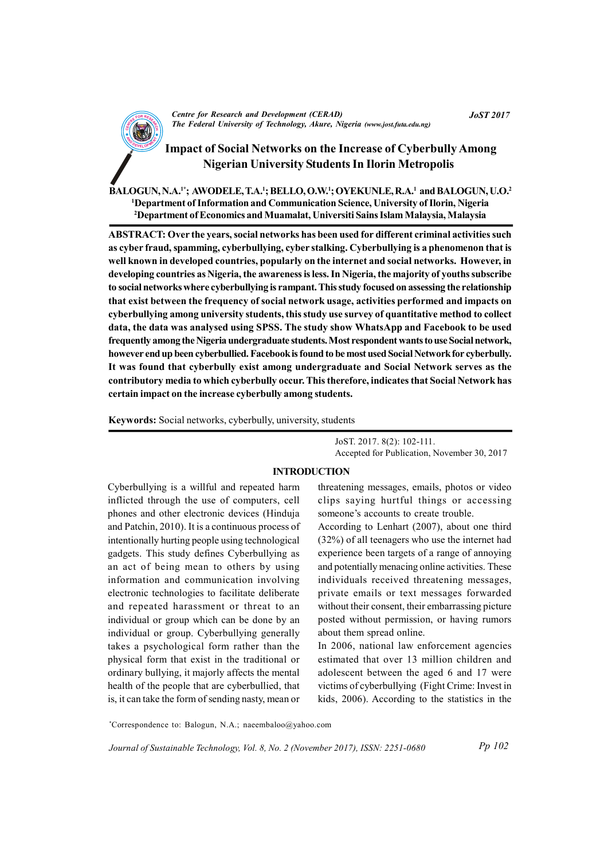

# Impact of Social Networks on the Increase of Cyberbully Among Nigerian University Students In Ilorin Metropolis

BALOGUN, N.A.<sup>1\*</sup>; AWODELE, T.A.<sup>1</sup>; BELLO, O.W.<sup>1</sup>; OYEKUNLE, R.A.<sup>1</sup> and BALOGUN, U.O.<sup>2</sup> <sup>1</sup>Department of Information and Communication Science, University of Ilorin, Nigeria <sup>2</sup>Department of Economics and Muamalat, Universiti Sains Islam Malaysia, Malaysia

ABSTRACT: Over the years, social networks has been used for different criminal activities such as cyber fraud, spamming, cyberbullying, cyber stalking. Cyberbullying is a phenomenon that is well known in developed countries, popularly on the internet and social networks. However, in developing countries as Nigeria, the awareness is less. In Nigeria, the majority of youths subscribe to social networks where cyberbullying is rampant. This study focused on assessing the relationship that exist between the frequency of social network usage, activities performed and impacts on cyberbullying among university students, this study use survey of quantitative method to collect data, the data was analysed using SPSS. The study show WhatsApp and Facebook to be used frequently among the Nigeria undergraduate students. Most respondent wants to use Social network, however end up been cyberbullied. Facebook is found to be most used Social Network for cyberbully. It was found that cyberbully exist among undergraduate and Social Network serves as the contributory media to which cyberbully occur. This therefore, indicates that Social Network has certain impact on the increase cyberbully among students.

Keywords: Social networks, cyberbully, university, students

JoST. 2017. 8(2): 102-111. Accepted for Publication, November 30, 2017

#### INTRODUCTION

Cyberbullying is a willful and repeated harm inflicted through the use of computers, cell phones and other electronic devices (Hinduja and Patchin, 2010). It is a continuous process of intentionally hurting people using technological gadgets. This study defines Cyberbullying as an act of being mean to others by using information and communication involving electronic technologies to facilitate deliberate and repeated harassment or threat to an individual or group which can be done by an individual or group. Cyberbullying generally takes a psychological form rather than the physical form that exist in the traditional or ordinary bullying, it majorly affects the mental health of the people that are cyberbullied, that is, it can take the form of sending nasty, mean or

threatening messages, emails, photos or video clips saying hurtful things or accessing someone's accounts to create trouble.

According to Lenhart (2007), about one third (32%) of all teenagers who use the internet had experience been targets of a range of annoying and potentially menacing online activities. These individuals received threatening messages, private emails or text messages forwarded without their consent, their embarrassing picture posted without permission, or having rumors about them spread online.

In 2006, national law enforcement agencies estimated that over 13 million children and adolescent between the aged 6 and 17 were victims of cyberbullying (Fight Crime: Invest in kids, 2006). According to the statistics in the

\*Correspondence to: Balogun, N.A.; naeembaloo@yahoo.com

Journal of Sustainable Technology, Vol. 8, No. 2 (November 2017), ISSN: 2251-0680 Pp 102

JoST 2017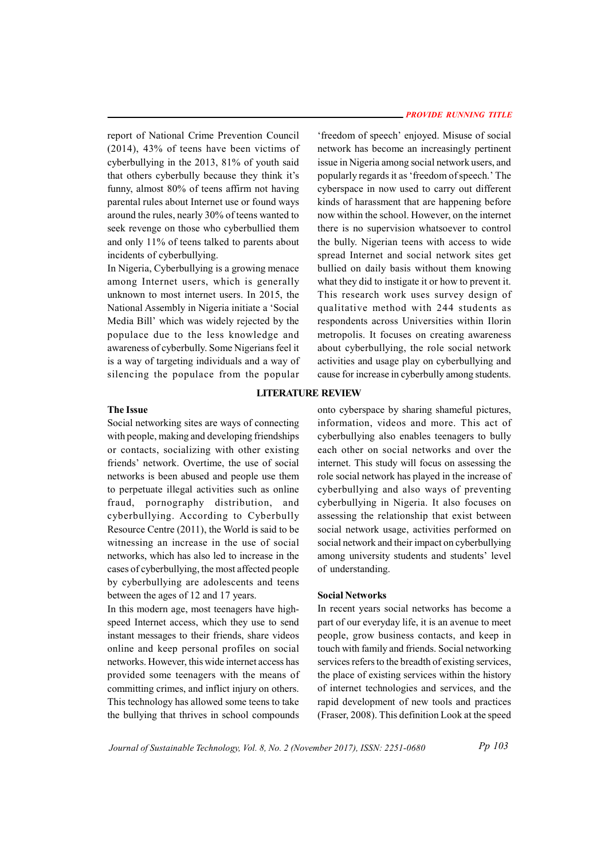report of National Crime Prevention Council (2014), 43% of teens have been victims of cyberbullying in the 2013, 81% of youth said that others cyberbully because they think it's funny, almost 80% of teens affirm not having parental rules about Internet use or found ways around the rules, nearly 30% of teens wanted to seek revenge on those who cyberbullied them and only 11% of teens talked to parents about incidents of cyberbullying.

In Nigeria, Cyberbullying is a growing menace among Internet users, which is generally unknown to most internet users. In 2015, the National Assembly in Nigeria initiate a 'Social Media Bill' which was widely rejected by the populace due to the less knowledge and awareness of cyberbully. Some Nigerians feel it is a way of targeting individuals and a way of silencing the populace from the popular

'freedom of speech' enjoyed. Misuse of social network has become an increasingly pertinent issue in Nigeria among social network users, and popularly regards it as 'freedom of speech.' The cyberspace in now used to carry out different kinds of harassment that are happening before now within the school. However, on the internet there is no supervision whatsoever to control the bully. Nigerian teens with access to wide spread Internet and social network sites get bullied on daily basis without them knowing what they did to instigate it or how to prevent it. This research work uses survey design of qualitative method with 244 students as respondents across Universities within Ilorin metropolis. It focuses on creating awareness about cyberbullying, the role social network activities and usage play on cyberbullying and cause for increase in cyberbully among students.

#### LITERATURE REVIEW

#### The Issue

Social networking sites are ways of connecting with people, making and developing friendships or contacts, socializing with other existing friends' network. Overtime, the use of social networks is been abused and people use them to perpetuate illegal activities such as online fraud, pornography distribution, and cyberbullying. According to Cyberbully Resource Centre (2011), the World is said to be witnessing an increase in the use of social networks, which has also led to increase in the cases of cyberbullying, the most affected people by cyberbullying are adolescents and teens between the ages of 12 and 17 years.

In this modern age, most teenagers have highspeed Internet access, which they use to send instant messages to their friends, share videos online and keep personal profiles on social networks. However, this wide internet access has provided some teenagers with the means of committing crimes, and inflict injury on others. This technology has allowed some teens to take the bullying that thrives in school compounds

onto cyberspace by sharing shameful pictures, information, videos and more. This act of cyberbullying also enables teenagers to bully each other on social networks and over the internet. This study will focus on assessing the role social network has played in the increase of cyberbullying and also ways of preventing cyberbullying in Nigeria. It also focuses on assessing the relationship that exist between social network usage, activities performed on social network and their impact on cyberbullying among university students and students' level of understanding.

## Social Networks

In recent years social networks has become a part of our everyday life, it is an avenue to meet people, grow business contacts, and keep in touch with family and friends. Social networking services refers to the breadth of existing services, the place of existing services within the history of internet technologies and services, and the rapid development of new tools and practices (Fraser, 2008). This definition Look at the speed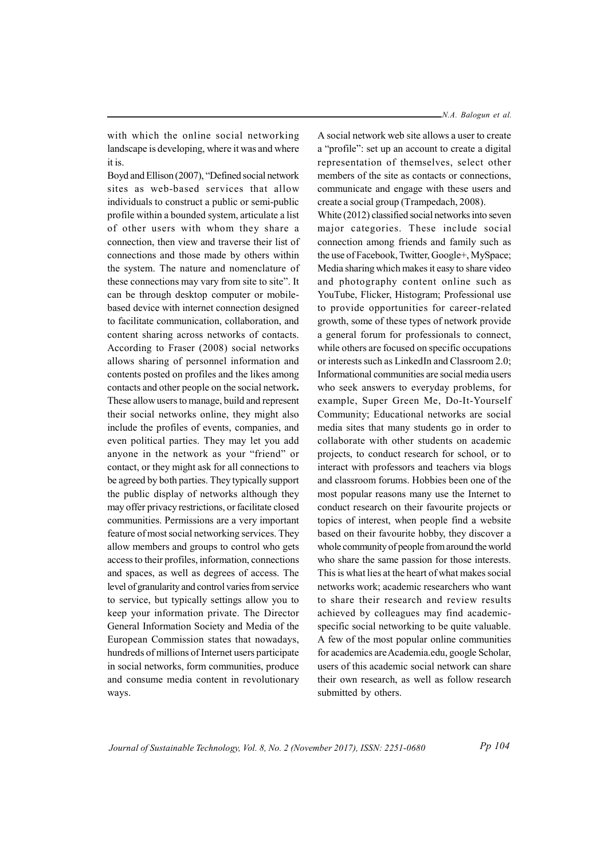with which the online social networking landscape is developing, where it was and where it is.

Boyd and Ellison (2007), "Defined social network sites as web-based services that allow individuals to construct a public or semi-public profile within a bounded system, articulate a list of other users with whom they share a connection, then view and traverse their list of connections and those made by others within the system. The nature and nomenclature of these connections may vary from site to site". It can be through desktop computer or mobilebased device with internet connection designed to facilitate communication, collaboration, and content sharing across networks of contacts. According to Fraser (2008) social networks allows sharing of personnel information and contents posted on profiles and the likes among contacts and other people on the social network. These allow users to manage, build and represent their social networks online, they might also include the profiles of events, companies, and even political parties. They may let you add anyone in the network as your "friend" or contact, or they might ask for all connections to be agreed by both parties. They typically support the public display of networks although they may offer privacy restrictions, or facilitate closed communities. Permissions are a very important feature of most social networking services. They allow members and groups to control who gets access to their profiles, information, connections and spaces, as well as degrees of access. The level of granularity and control varies from service to service, but typically settings allow you to keep your information private. The Director General Information Society and Media of the European Commission states that nowadays, hundreds of millions of Internet users participate in social networks, form communities, produce and consume media content in revolutionary ways.

A social network web site allows a user to create a "profile": set up an account to create a digital representation of themselves, select other members of the site as contacts or connections, communicate and engage with these users and create a social group (Trampedach, 2008).

White (2012) classified social networks into seven major categories. These include social connection among friends and family such as the use of Facebook, Twitter, Google+, MySpace; Media sharing which makes it easy to share video and photography content online such as YouTube, Flicker, Histogram; Professional use to provide opportunities for career-related growth, some of these types of network provide a general forum for professionals to connect, while others are focused on specific occupations or interests such as LinkedIn and Classroom 2.0; Informational communities are social media users who seek answers to everyday problems, for example, Super Green Me, Do-It-Yourself Community; Educational networks are social media sites that many students go in order to collaborate with other students on academic projects, to conduct research for school, or to interact with professors and teachers via blogs and classroom forums. Hobbies been one of the most popular reasons many use the Internet to conduct research on their favourite projects or topics of interest, when people find a website based on their favourite hobby, they discover a whole community of people from around the world who share the same passion for those interests. This is what lies at the heart of what makes social networks work; academic researchers who want to share their research and review results achieved by colleagues may find academicspecific social networking to be quite valuable. A few of the most popular online communities for academics are Academia.edu, google Scholar, users of this academic social network can share their own research, as well as follow research submitted by others.

Journal of Sustainable Technology, Vol. 8, No. 2 (November 2017), ISSN: 2251-0680

Pp 104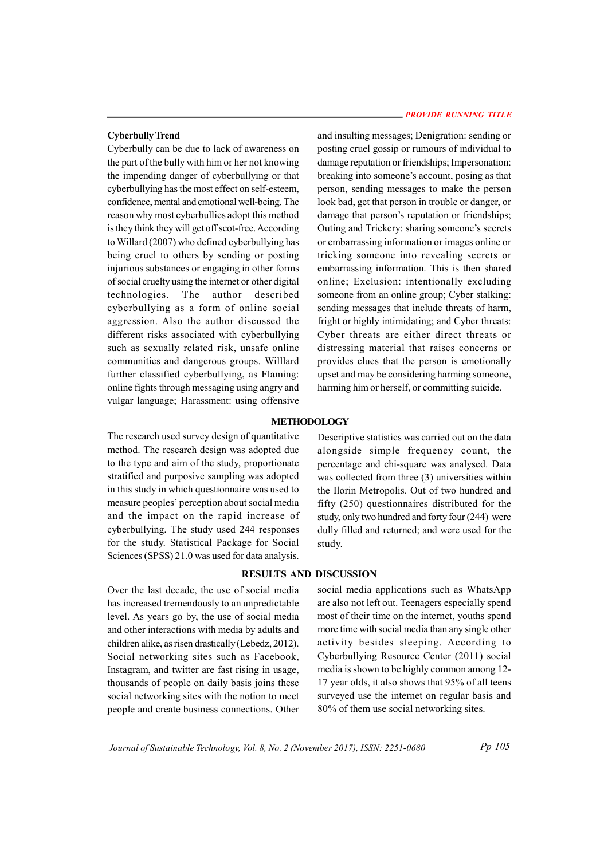### Cyberbully Trend

Cyberbully can be due to lack of awareness on the part of the bully with him or her not knowing the impending danger of cyberbullying or that cyberbullying has the most effect on self-esteem, confidence, mental and emotional well-being. The reason why most cyberbullies adopt this method is they think they will get off scot-free. According to Willard (2007) who defined cyberbullying has being cruel to others by sending or posting injurious substances or engaging in other forms of social cruelty using the internet or other digital technologies. The author described cyberbullying as a form of online social aggression. Also the author discussed the different risks associated with cyberbullying such as sexually related risk, unsafe online communities and dangerous groups. Willlard further classified cyberbullying, as Flaming: online fights through messaging using angry and vulgar language; Harassment: using offensive

#### PROVIDE RUNNING TITLE

and insulting messages; Denigration: sending or posting cruel gossip or rumours of individual to damage reputation or friendships; Impersonation: breaking into someone's account, posing as that person, sending messages to make the person look bad, get that person in trouble or danger, or damage that person's reputation or friendships; Outing and Trickery: sharing someone's secrets or embarrassing information or images online or tricking someone into revealing secrets or embarrassing information. This is then shared online; Exclusion: intentionally excluding someone from an online group; Cyber stalking: sending messages that include threats of harm, fright or highly intimidating; and Cyber threats: Cyber threats are either direct threats or distressing material that raises concerns or provides clues that the person is emotionally upset and may be considering harming someone, harming him or herself, or committing suicide.

### **METHODOLOGY**

The research used survey design of quantitative method. The research design was adopted due to the type and aim of the study, proportionate stratified and purposive sampling was adopted in this study in which questionnaire was used to measure peoples' perception about social media and the impact on the rapid increase of cyberbullying. The study used 244 responses for the study. Statistical Package for Social Sciences (SPSS) 21.0 was used for data analysis.

Descriptive statistics was carried out on the data alongside simple frequency count, the percentage and chi-square was analysed. Data was collected from three (3) universities within the Ilorin Metropolis. Out of two hundred and fifty (250) questionnaires distributed for the study, only two hundred and forty four (244) were dully filled and returned; and were used for the study.

### RESULTS AND DISCUSSION

Over the last decade, the use of social media has increased tremendously to an unpredictable level. As years go by, the use of social media and other interactions with media by adults and children alike, as risen drastically (Lebedz, 2012). Social networking sites such as Facebook, Instagram, and twitter are fast rising in usage, thousands of people on daily basis joins these social networking sites with the notion to meet people and create business connections. Other

social media applications such as WhatsApp are also not left out. Teenagers especially spend most of their time on the internet, youths spend more time with social media than any single other activity besides sleeping. According to Cyberbullying Resource Center (2011) social media is shown to be highly common among 12- 17 year olds, it also shows that 95% of all teens surveyed use the internet on regular basis and 80% of them use social networking sites.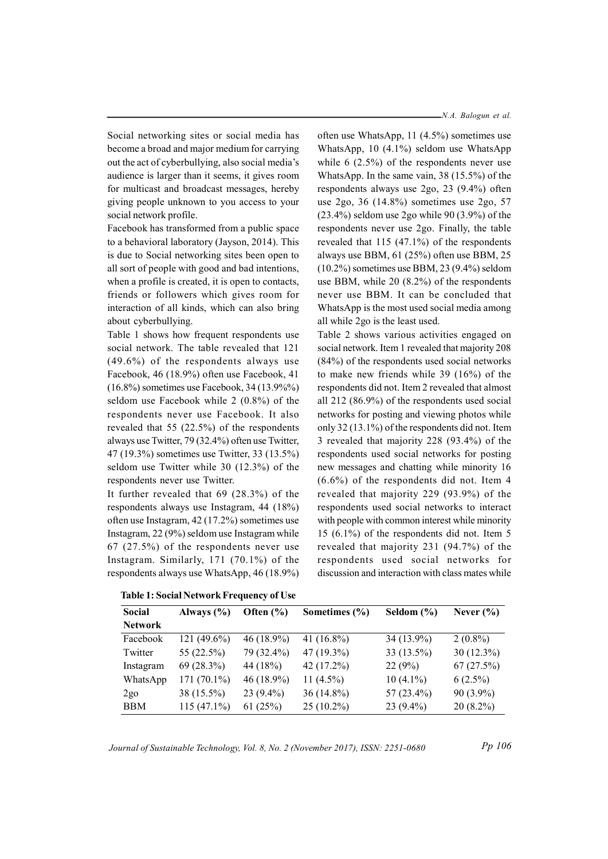Social networking sites or social media has become a broad and major medium for carrying out the act of cyberbullying, also social media's audience is larger than it seems, it gives room for multicast and broadcast messages, hereby giving people unknown to you access to your social network profile.

Facebook has transformed from a public space to a behavioral laboratory (Jayson, 2014). This is due to Social networking sites been open to all sort of people with good and bad intentions, when a profile is created, it is open to contacts, friends or followers which gives room for interaction of all kinds, which can also bring about cyberbullying.

Table 1 shows how frequent respondents use social network. The table revealed that 121 (49.6%) of the respondents always use Facebook, 46 (18.9%) often use Facebook, 41 (16.8%) sometimes use Facebook, 34 (13.9%%) seldom use Facebook while 2 (0.8%) of the respondents never use Facebook. It also revealed that 55 (22.5%) of the respondents always use Twitter, 79 (32.4%) often use Twitter, 47 (19.3%) sometimes use Twitter, 33 (13.5%) seldom use Twitter while 30 (12.3%) of the respondents never use Twitter.

It further revealed that 69 (28.3%) of the respondents always use Instagram, 44 (18%) often use Instagram, 42 (17.2%) sometimes use Instagram, 22 (9%) seldom use Instagram while 67 (27.5%) of the respondents never use Instagram. Similarly, 171 (70.1%) of the respondents always use WhatsApp, 46 (18.9%)

often use WhatsApp, 11 (4.5%) sometimes use WhatsApp, 10 (4.1%) seldom use WhatsApp while 6 (2.5%) of the respondents never use WhatsApp. In the same vain, 38 (15.5%) of the respondents always use 2go, 23 (9.4%) often use 2go, 36 (14.8%) sometimes use 2go, 57 (23.4%) seldom use 2go while 90 (3.9%) of the respondents never use 2go. Finally, the table revealed that 115 (47.1%) of the respondents always use BBM, 61 (25%) often use BBM, 25 (10.2%) sometimes use BBM, 23 (9.4%) seldom use BBM, while 20 (8.2%) of the respondents never use BBM. It can be concluded that WhatsApp is the most used social media among

Table 2 shows various activities engaged on social network. Item 1 revealed that majority 208 (84%) of the respondents used social networks to make new friends while 39 (16%) of the respondents did not. Item 2 revealed that almost all 212 (86.9%) of the respondents used social networks for posting and viewing photos while only 32 (13.1%) of the respondents did not. Item 3 revealed that majority 228 (93.4%) of the respondents used social networks for posting new messages and chatting while minority 16 (6.6%) of the respondents did not. Item 4 revealed that majority 229 (93.9%) of the respondents used social networks to interact with people with common interest while minority 15 (6.1%) of the respondents did not. Item 5 revealed that majority 231 (94.7%) of the respondents used social networks for discussion and interaction with class mates while

all while 2go is the least used.

| Social          | Always $(\% )$ | Often $(\% )$ | Sometimes $(\% )$ | Seldom $(\% )$ | Never $(\% )$ |
|-----------------|----------------|---------------|-------------------|----------------|---------------|
| <b>Network</b>  |                |               |                   |                |               |
| Facebook        | $121(49.6\%)$  | $46(18.9\%)$  | 41 $(16.8\%)$     | 34 (13.9%)     | $2(0.8\%)$    |
| Twitter         | 55 (22.5%)     | 79 (32.4%)    | $47(19.3\%)$      | $33(13.5\%)$   | $30(12.3\%)$  |
| Instagram       | $69(28.3\%)$   | 44 (18%)      | 42 (17.2%)        | 22(9%)         | 67(27.5%)     |
| WhatsApp        | $171(70.1\%)$  | $46(18.9\%)$  | 11 $(4.5\%)$      | $10(4.1\%)$    | $6(2.5\%)$    |
| 2g <sub>0</sub> | 38 (15.5%)     | $23(9.4\%)$   | $36(14.8\%)$      | 57 (23.4%)     | $90(3.9\%)$   |
| <b>BBM</b>      | $115(47.1\%)$  | 61(25%)       | $25(10.2\%)$      | $23(9.4\%)$    | $20(8.2\%)$   |

Table 1: Social Network Frequency of Use

Journal of Sustainable Technology, Vol. 8, No. 2 (November 2017), ISSN: 2251-0680

Pp 106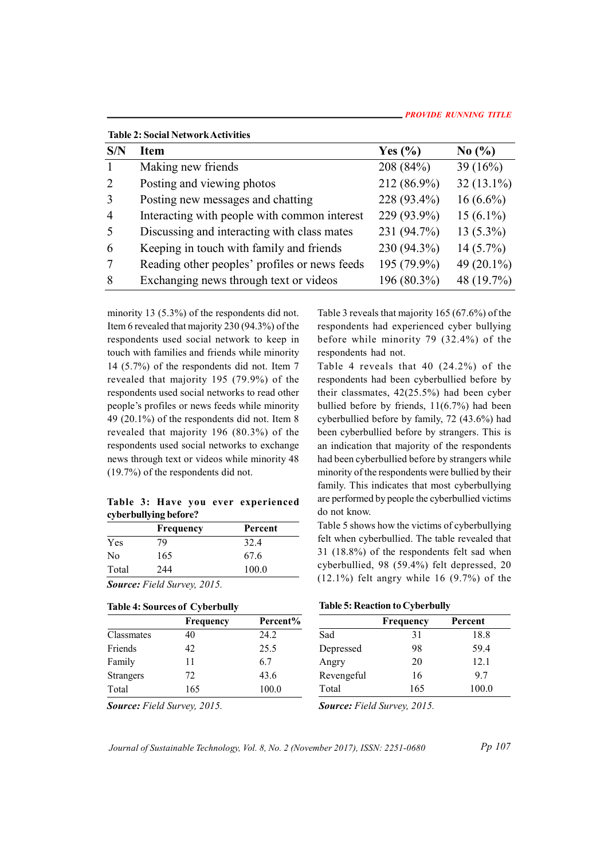| <b>Table 2: Social Network Activities</b> |                                               |             |               |  |  |
|-------------------------------------------|-----------------------------------------------|-------------|---------------|--|--|
| S/N                                       | Item                                          | Yes $(\% )$ | No $(\%$      |  |  |
|                                           | Making new friends                            | 208 (84%)   | 39 $(16%)$    |  |  |
| 2                                         | Posting and viewing photos                    | 212 (86.9%) | $32(13.1\%)$  |  |  |
| 3                                         | Posting new messages and chatting             | 228 (93.4%) | $16(6.6\%)$   |  |  |
| $\overline{4}$                            | Interacting with people with common interest  | 229 (93.9%) | $15(6.1\%)$   |  |  |
| 5                                         | Discussing and interacting with class mates   | 231 (94.7%) | $13(5.3\%)$   |  |  |
| 6                                         | Keeping in touch with family and friends      | 230 (94.3%) | $14(5.7\%)$   |  |  |
| 7                                         | Reading other peoples' profiles or news feeds | 195 (79.9%) | 49 $(20.1\%)$ |  |  |
| 8                                         | Exchanging news through text or videos        | 196 (80.3%) | 48 (19.7%)    |  |  |

minority 13 (5.3%) of the respondents did not. Item 6 revealed that majority 230 (94.3%) of the respondents used social network to keep in touch with families and friends while minority 14 (5.7%) of the respondents did not. Item 7 revealed that majority 195 (79.9%) of the respondents used social networks to read other people's profiles or news feeds while minority 49 (20.1%) of the respondents did not. Item 8 revealed that majority 196 (80.3%) of the respondents used social networks to exchange news through text or videos while minority 48 (19.7%) of the respondents did not.

## Table 3: Have you ever experienced cyberbullying before?

|                | <b>Frequency</b> | Percent | Table 5   |
|----------------|------------------|---------|-----------|
| Yes            | 79               | 32.4    | felt whe  |
| N <sub>0</sub> | 165              | 67.6    | 31 (18.   |
| Total          | 244              | 100.0   | cyberbu   |
| $\sim$         | _ _ _ _          |         | $(12.1\%$ |

Source: Field Survey, 2015.

### Table 4: Sources of Cyberbully

|                  | Frequency | Percent% |            |
|------------------|-----------|----------|------------|
| Classmates       | 40        | 24.2     | Sad        |
| Friends          | 42        | 25.5     | Depressed  |
| Family           | 11        | 6.7      | Angry      |
| <b>Strangers</b> | 72        | 43.6     | Revengeful |
| Total            | 165       | 100.0    | Total      |

Table 3 reveals that majority 165 (67.6%) of the respondents had experienced cyber bullying before while minority 79 (32.4%) of the respondents had not.

Table 4 reveals that 40 (24.2%) of the respondents had been cyberbullied before by their classmates, 42(25.5%) had been cyber bullied before by friends, 11(6.7%) had been cyberbullied before by family, 72 (43.6%) had been cyberbullied before by strangers. This is an indication that majority of the respondents had been cyberbullied before by strangers while minority of the respondents were bullied by their family. This indicates that most cyberbullying are performed by people the cyberbullied victims do not know.

Frequency Percent Table 5 shows how the victims of cyberbullying felt when cyberbullied. The table revealed that 31 (18.8%) of the respondents felt sad when cyberbullied, 98 (59.4%) felt depressed, 20  $(12.1\%)$  felt angry while 16  $(9.7\%)$  of the

|  |  | <b>Table 5: Reaction to Cyberbully</b> |
|--|--|----------------------------------------|
|--|--|----------------------------------------|

| Frequency | Percent% |            | Frequency | Percent |
|-----------|----------|------------|-----------|---------|
| 40        | 24.2     | Sad        |           | 18.8    |
| 42        | 25.5     | Depressed  | 98        | 59.4    |
| 11        | 6.7      | Angry      | 20        | 12.1    |
| 72        | 43.6     | Revengeful | 16        | 9.7     |
| 165       | 100.0    | Total      | 165       | 100.0   |
|           |          |            |           |         |

Source: Field Survey, 2015.

Source: Field Survey, 2015.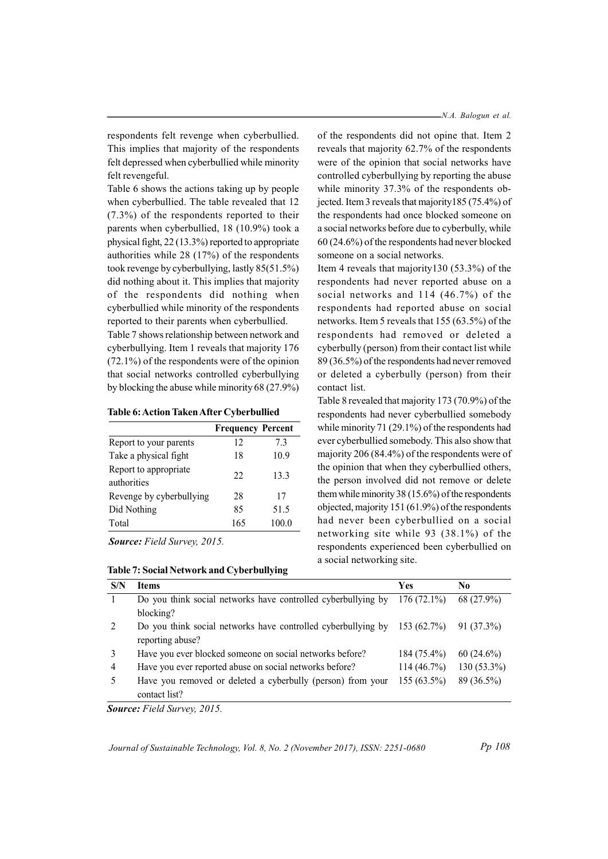respondents felt revenge when cyberbullied. This implies that majority of the respondents felt depressed when cyberbullied while minority felt revengeful.

Table 6 shows the actions taking up by people when cyberbullied. The table revealed that 12 (7.3%) of the respondents reported to their parents when cyberbullied, 18 (10.9%) took a physical fight, 22 (13.3%) reported to appropriate authorities while 28 (17%) of the respondents took revenge by cyberbullying, lastly 85(51.5%) did nothing about it. This implies that majority of the respondents did nothing when cyberbullied while minority of the respondents reported to their parents when cyberbullied.

Table 7 shows relationship between network and cyberbullying. Item 1 reveals that majority 176 (72.1%) of the respondents were of the opinion that social networks controlled cyberbullying by blocking the abuse while minority 68 (27.9%)

Table 6: Action Taken After Cyberbullied

|                                      | <b>Frequency Percent</b> |       |
|--------------------------------------|--------------------------|-------|
| Report to your parents               | 12                       | 7.3   |
| Take a physical fight                | 18                       | 10.9  |
| Report to appropriate<br>authorities | 22                       | 13.3  |
| Revenge by cyberbullying             | 28                       | 17    |
| Did Nothing                          | 85                       | 51.5  |
| Total                                | 165                      | 100.0 |

Source: Field Survey, 2015.

N.A. Balogun et al.

of the respondents did not opine that. Item 2 reveals that majority 62.7% of the respondents were of the opinion that social networks have controlled cyberbullying by reporting the abuse while minority 37.3% of the respondents objected. Item 3 reveals that majority185 (75.4%) of the respondents had once blocked someone on a social networks before due to cyberbully, while 60 (24.6%) of the respondents had never blocked someone on a social networks.

Item 4 reveals that majority130 (53.3%) of the respondents had never reported abuse on a social networks and 114 (46.7%) of the respondents had reported abuse on social networks. Item 5 reveals that 155 (63.5%) of the respondents had removed or deleted a cyberbully (person) from their contact list while 89 (36.5%) of the respondents had never removed or deleted a cyberbully (person) from their contact list.

Frequency Percent while minority 71 (29.1%) of the respondents had Report to your parents  $12 \overline{7.3}$  ever cyberbullied somebody. This also show that Take a physical fight 18 10.9 majority 206 (84.4%) of the respondents were of authorities 22 13.3 the person involved did not remove or delete 17 them while minority 38 (15.6%) of the respondents 51.5 objected, majority 151 (61.9%) of the respondents Total 165 100.0 had never been cyberbullied on a social Table 8 revealed that majority 173 (70.9%) of the respondents had never cyberbullied somebody the opinion that when they cyberbullied others, networking site while 93 (38.1%) of the respondents experienced been cyberbullied on a social networking site.

| S/N | <b>Items</b>                                                                | Yes           | No            |
|-----|-----------------------------------------------------------------------------|---------------|---------------|
|     | Do you think social networks have controlled cyberbullying by $176(72.1\%)$ |               | 68 (27.9%)    |
|     | blocking?                                                                   |               |               |
|     | Do you think social networks have controlled cyberbullying by $153(62.7%)$  |               | 91 (37.3%)    |
|     | reporting abuse?                                                            |               |               |
| 3   | Have you ever blocked someone on social networks before?                    | $184(75.4\%)$ | $60(24.6\%)$  |
| 4   | Have you ever reported abuse on social networks before?                     | 114(46.7%)    | $130(53.3\%)$ |
|     | Have you removed or deleted a cyberbully (person) from your                 | $155(63.5\%)$ | 89 (36.5%)    |
|     | contact list?                                                               |               |               |
|     |                                                                             |               |               |

Source: Field Survey, 2015.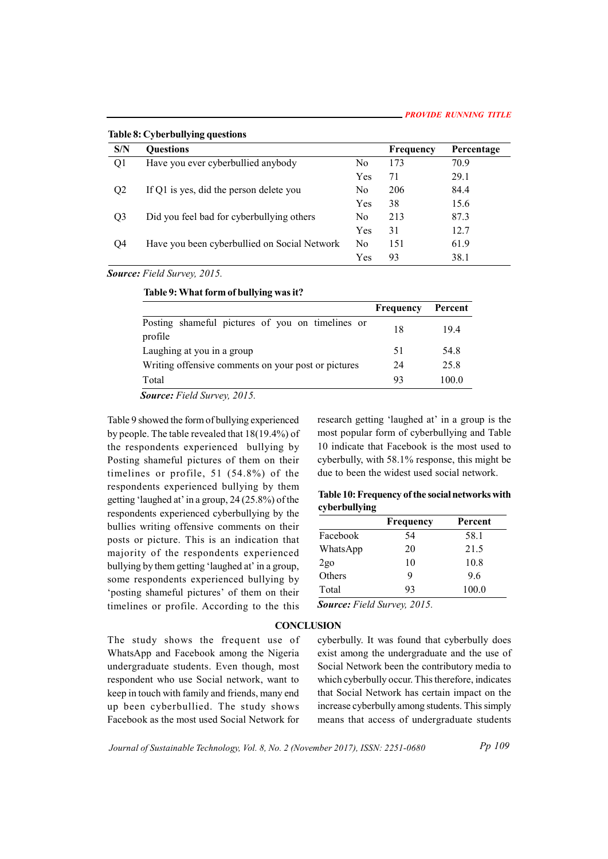Table 8: Cyberbullying questions

| S/N            | <b>Ouestions</b>                             |     | <b>Frequency</b> | Percentage |
|----------------|----------------------------------------------|-----|------------------|------------|
| Q <sub>1</sub> | Have you ever cyberbullied anybody           | No  | 173              | 70.9       |
|                |                                              | Yes | 71               | 29.1       |
| Q <sub>2</sub> | If Q1 is yes, did the person delete you      | No. | 206              | 84.4       |
|                |                                              | Yes | 38               | 15.6       |
| Q <sub>3</sub> | Did you feel bad for cyberbullying others    | No. | 213              | 87.3       |
|                |                                              | Yes | 31               | 12.7       |
| O4             | Have you been cyberbullied on Social Network | No. | 151              | 61.9       |
|                |                                              | Yes | 93               | 38.1       |

Source: Field Survey, 2015.

Table 9: What form of bullying was it?

|                                                             | Frequency | Percent |
|-------------------------------------------------------------|-----------|---------|
| Posting shameful pictures of you on timelines or<br>profile | 18        | 19.4    |
| Laughing at you in a group                                  | 51        | 54.8    |
| Writing offensive comments on your post or pictures         | 24        | 25.8    |
| Total                                                       | 93        | 100.0   |

Source: Field Survey, 2015.

Table 9 showed the form of bullying experienced by people. The table revealed that 18(19.4%) of the respondents experienced bullying by Posting shameful pictures of them on their timelines or profile, 51 (54.8%) of the respondents experienced bullying by them getting 'laughed at' in a group, 24 (25.8%) of the respondents experienced cyberbullying by the bullies writing offensive comments on their posts or picture. This is an indication that majority of the respondents experienced bullying by them getting 'laughed at' in a group, some respondents experienced bullying by 'posting shameful pictures' of them on their timelines or profile. According to the this

research getting 'laughed at' in a group is the most popular form of cyberbullying and Table 10 indicate that Facebook is the most used to cyberbully, with 58.1% response, this might be due to been the widest used social network.

| Table 10: Frequency of the social networks with |  |  |
|-------------------------------------------------|--|--|
| cyberbullying                                   |  |  |

|               | Frequency | Percent |
|---------------|-----------|---------|
| Facebook      | 54        | 58.1    |
| WhatsApp      | 20        | 21.5    |
|               | 10        | 10.8    |
| 2go<br>Others | 9         | 9.6     |
| Total         | 93        | 100.0   |

Source: Field Survey, 2015.

## **CONCLUSION**

The study shows the frequent use of WhatsApp and Facebook among the Nigeria undergraduate students. Even though, most respondent who use Social network, want to keep in touch with family and friends, many end up been cyberbullied. The study shows Facebook as the most used Social Network for

cyberbully. It was found that cyberbully does exist among the undergraduate and the use of Social Network been the contributory media to which cyberbully occur. This therefore, indicates that Social Network has certain impact on the increase cyberbully among students. This simply means that access of undergraduate students

Journal of Sustainable Technology, Vol. 8, No. 2 (November 2017), ISSN: 2251-0680

Pp 109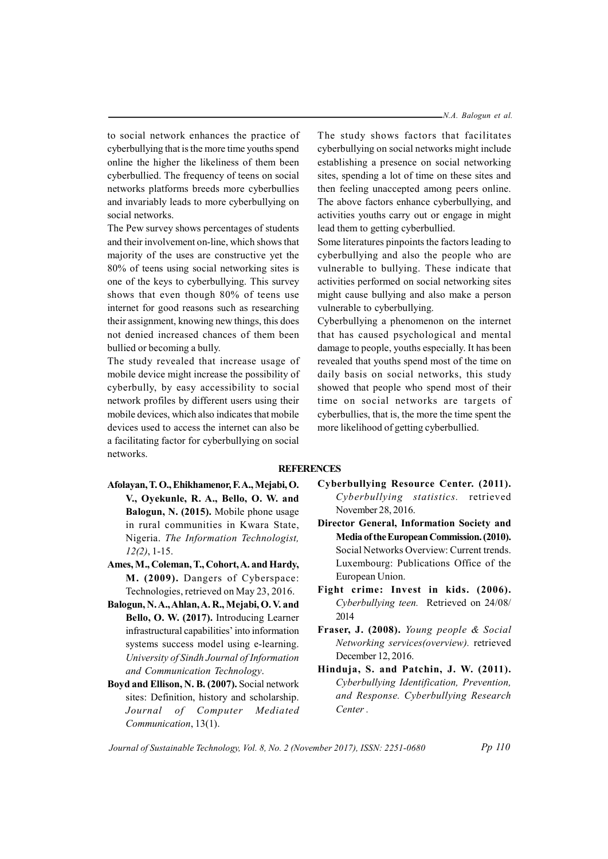N.A. Balogun et al.

to social network enhances the practice of cyberbullying that is the more time youths spend online the higher the likeliness of them been cyberbullied. The frequency of teens on social networks platforms breeds more cyberbullies and invariably leads to more cyberbullying on social networks.

The Pew survey shows percentages of students and their involvement on-line, which shows that majority of the uses are constructive yet the 80% of teens using social networking sites is one of the keys to cyberbullying. This survey shows that even though 80% of teens use internet for good reasons such as researching their assignment, knowing new things, this does not denied increased chances of them been bullied or becoming a bully.

The study revealed that increase usage of mobile device might increase the possibility of cyberbully, by easy accessibility to social network profiles by different users using their mobile devices, which also indicates that mobile devices used to access the internet can also be a facilitating factor for cyberbullying on social networks.

The study shows factors that facilitates cyberbullying on social networks might include establishing a presence on social networking sites, spending a lot of time on these sites and then feeling unaccepted among peers online. The above factors enhance cyberbullying, and activities youths carry out or engage in might lead them to getting cyberbullied.

Some literatures pinpoints the factors leading to cyberbullying and also the people who are vulnerable to bullying. These indicate that activities performed on social networking sites might cause bullying and also make a person vulnerable to cyberbullying.

Cyberbullying a phenomenon on the internet that has caused psychological and mental damage to people, youths especially. It has been revealed that youths spend most of the time on daily basis on social networks, this study showed that people who spend most of their time on social networks are targets of cyberbullies, that is, the more the time spent the more likelihood of getting cyberbullied.

### **REFERENCES**

- Afolayan, T. O., Ehikhamenor, F. A., Mejabi, O. V., Oyekunle, R. A., Bello, O. W. and Balogun, N. (2015). Mobile phone usage in rural communities in Kwara State, Nigeria. The Information Technologist,  $12(2)$ , 1-15.
- Ames, M., Coleman, T., Cohort, A. and Hardy, M. (2009). Dangers of Cyberspace: Technologies, retrieved on May 23, 2016.
- Balogun, N. A., Ahlan, A. R., Mejabi, O. V. and Bello, O. W. (2017). Introducing Learner infrastructural capabilities' into information systems success model using e-learning. University of Sindh Journal of Information and Communication Technology.
- Boyd and Ellison, N. B. (2007). Social network sites: Definition, history and scholarship. Journal of Computer Mediated Communication, 13(1).
- Cyberbullying Resource Center. (2011). Cyberbullying statistics. retrieved November 28, 2016.
- Director General, Information Society and Media of the European Commission. (2010). Social Networks Overview: Current trends. Luxembourg: Publications Office of the European Union.
- Fight crime: Invest in kids. (2006). Cyberbullying teen. Retrieved on 24/08/ 2014
- Fraser, J. (2008). Young people & Social Networking services(overview). retrieved December 12, 2016.
- Hinduja, S. and Patchin, J. W. (2011). Cyberbullying Identification, Prevention, and Response. Cyberbullying Research Center .